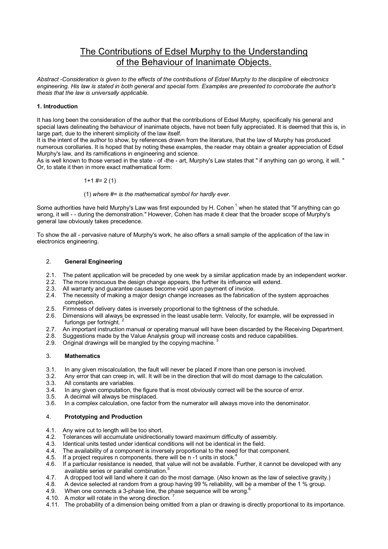# The Contributions of Edsel Murphy to the Understanding of the Behaviour of Inanimate Objects.

*Abstract -Consideration is given to the effects of the contributions of Edsel Murphy to the discipline* of *electronics engineering. His law is stated in both general and special form. Examples are presented to corroborate the author's thesis that the law is universally applicable.* 

#### **1. Introduction**

It has long been the consideration of the author that the contributions of Edsel Murphy, specifically his general and special laws delineating the behaviour of inanimate objects, have not been fully appreciated. It is deemed that this is, in large part, due to the inherent simplicity of the law itself.

It is the intent of the author to show, by references drawn from the literature, that the law of Murphy has produced numerous corollaries. It is hoped that by noting these examples, the reader may obtain a greater appreciation of Edsel Murphy's law, and its ramifications in engineering and science.

As is well known to those versed in the state - of -the - art, Murphy's Law states that " if anything can go wrong, it will. " Or, to state it then in more exact mathematical form:

### $1+1$  #= 2(1)

#### (1) *where #= is the mathematical symbol for hardly ever.*

Some authorities have held Murphy's Law was first expounded by H. Cohen<sup>1</sup> when he stated that "if anything can go wrong, it will - - during the demonstration." However, Cohen has made it clear that the broader scope of Murphy's general law obviously takes precedence.

To show the all - pervasive nature of Murphy's work, he also offers a small sample of the application of the law in electronics engineering.

#### 2. **General Engineering**

- 2.1. The patent application will be preceded by one week by a similar application made by an independent worker.<br>2.2. The more innocuous the design change appears, the further its influence will extend.
- 2.2. The more innocuous the design change appears, the further its influence will extend.<br>2.3. All warranty and guarantee causes become void upon payment of invoice.
- All warranty and guarantee causes become void upon payment of invoice.
- 2.4. The necessity of making a major design change increases as the fabrication of the system approaches completion.
- 2.5. Firmness of delivery dates is inversely proportional to the tightness of the schedule.
- 2.6. Dimensions will always be expressed in the least usable term. Velocity, for example, will be expressed in furlongs per fortnight.
- 2.7. An important instruction manual or operating manual will have been discarded by the Receiving Department.
- 2.8. Suggestions made by the Value Analysis group will increase costs and reduce capabilities.<br>2.9. Original drawings will be mangled by the copying machine.<sup>3</sup>
- Original drawings will be mangled by the copying machine.

## 3. **Mathematics**

- 
- 3.1. In any given miscalculation, the fault will never be placed if more than one person is involved.<br>3.2. Any error that can creep in, will, It will be in the direction that will do most damage to the calcu 3.2. Any error that can creep in, will. It will be in the direction that will do most damage to the calculation. All constants are variables.
- 
- 3.4. In any given computation, the figure that is most obviously correct will be the source of error.
- 3.5. A decimal will always be misplaced.<br>3.6. In a complex calculation, one factor
- In a complex calculation, one factor from the numerator will always move into the denominator.

#### 4. **Prototyping and Production**

- 4.1. Any wire cut to length will be too short.
- 4.2. Tolerances will accumulate unidirectionally toward maximum difficulty of assembly.
- 4.3. Identical units tested under identical conditions will not be identical in the field.
- 4.4. The availability of a component is inversely proportional to the need for that component.
- 4.5. If a project requires n components, there will be n -1 units in stock.<sup>4</sup>
- 4.6. If a particular resistance is needed, that value will not be available. Further, it cannot be developed with any available series or parallel combination.<sup>5</sup>
- 4.7. A dropped tool will land where it can do the most damage. (Also known as the law of selective gravity.)
- 4.8. A device selected at random from a group having 99 % reliability, will be a member of the 1 % group.
- 4.9. When one connects a 3-phase line, the phase sequence will be wrong.<sup>6</sup>
- 4.10. A motor will rotate in the wrong direction.
- 4.11. The probability of a dimension being omitted from a plan or drawing is directly proportional to its importance.